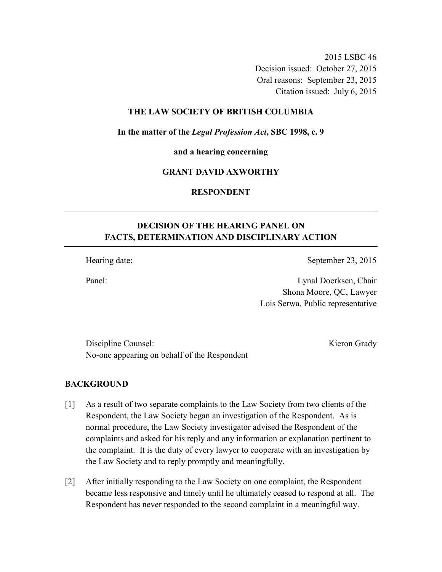2015 LSBC 46 Decision issued: October 27, 2015 Oral reasons: September 23, 2015 Citation issued: July 6, 2015

### **THE LAW SOCIETY OF BRITISH COLUMBIA**

**In the matter of the** *Legal Profession Act***, SBC 1998, c. 9** 

**and a hearing concerning** 

#### **GRANT DAVID AXWORTHY**

**RESPONDENT** 

# **DECISION OF THE HEARING PANEL ON FACTS, DETERMINATION AND DISCIPLINARY ACTION**

Hearing date: September 23, 2015

Panel: Lynal Doerksen, Chair Shona Moore, QC, Lawyer Lois Serwa, Public representative

Discipline Counsel: Kieron Grady No-one appearing on behalf of the Respondent

## **BACKGROUND**

- [1] As a result of two separate complaints to the Law Society from two clients of the Respondent, the Law Society began an investigation of the Respondent. As is normal procedure, the Law Society investigator advised the Respondent of the complaints and asked for his reply and any information or explanation pertinent to the complaint. It is the duty of every lawyer to cooperate with an investigation by the Law Society and to reply promptly and meaningfully.
- [2] After initially responding to the Law Society on one complaint, the Respondent became less responsive and timely until he ultimately ceased to respond at all. The Respondent has never responded to the second complaint in a meaningful way.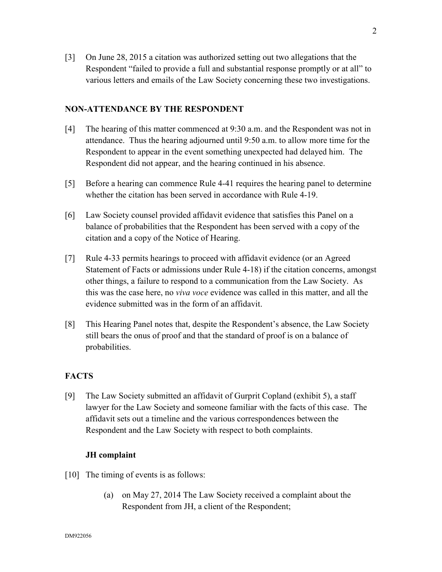[3] On June 28, 2015 a citation was authorized setting out two allegations that the Respondent "failed to provide a full and substantial response promptly or at all" to various letters and emails of the Law Society concerning these two investigations.

## **NON-ATTENDANCE BY THE RESPONDENT**

- [4] The hearing of this matter commenced at 9:30 a.m. and the Respondent was not in attendance. Thus the hearing adjourned until 9:50 a.m. to allow more time for the Respondent to appear in the event something unexpected had delayed him. The Respondent did not appear, and the hearing continued in his absence.
- [5] Before a hearing can commence Rule 4-41 requires the hearing panel to determine whether the citation has been served in accordance with Rule 4-19.
- [6] Law Society counsel provided affidavit evidence that satisfies this Panel on a balance of probabilities that the Respondent has been served with a copy of the citation and a copy of the Notice of Hearing.
- [7] Rule 4-33 permits hearings to proceed with affidavit evidence (or an Agreed Statement of Facts or admissions under Rule 4-18) if the citation concerns, amongst other things, a failure to respond to a communication from the Law Society. As this was the case here, no *viva voce* evidence was called in this matter, and all the evidence submitted was in the form of an affidavit.
- [8] This Hearing Panel notes that, despite the Respondent's absence, the Law Society still bears the onus of proof and that the standard of proof is on a balance of probabilities.

## **FACTS**

[9] The Law Society submitted an affidavit of Gurprit Copland (exhibit 5), a staff lawyer for the Law Society and someone familiar with the facts of this case. The affidavit sets out a timeline and the various correspondences between the Respondent and the Law Society with respect to both complaints.

## **JH complaint**

- [10] The timing of events is as follows:
	- (a) on May 27, 2014 The Law Society received a complaint about the Respondent from JH, a client of the Respondent;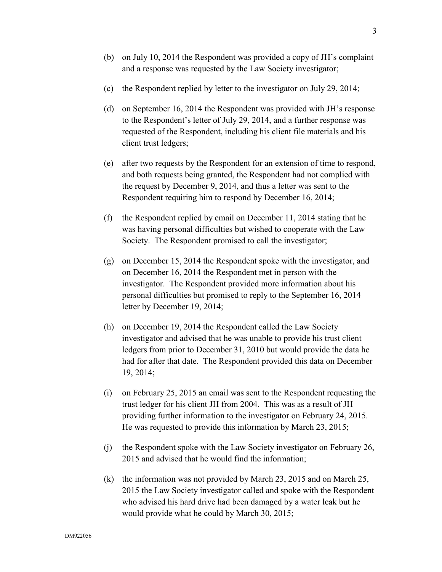- (b) on July 10, 2014 the Respondent was provided a copy of JH's complaint and a response was requested by the Law Society investigator;
- (c) the Respondent replied by letter to the investigator on July 29, 2014;
- (d) on September 16, 2014 the Respondent was provided with JH's response to the Respondent's letter of July 29, 2014, and a further response was requested of the Respondent, including his client file materials and his client trust ledgers;
- (e) after two requests by the Respondent for an extension of time to respond, and both requests being granted, the Respondent had not complied with the request by December 9, 2014, and thus a letter was sent to the Respondent requiring him to respond by December 16, 2014;
- (f) the Respondent replied by email on December 11, 2014 stating that he was having personal difficulties but wished to cooperate with the Law Society. The Respondent promised to call the investigator;
- (g) on December 15, 2014 the Respondent spoke with the investigator, and on December 16, 2014 the Respondent met in person with the investigator. The Respondent provided more information about his personal difficulties but promised to reply to the September 16, 2014 letter by December 19, 2014;
- (h) on December 19, 2014 the Respondent called the Law Society investigator and advised that he was unable to provide his trust client ledgers from prior to December 31, 2010 but would provide the data he had for after that date. The Respondent provided this data on December 19, 2014;
- (i) on February 25, 2015 an email was sent to the Respondent requesting the trust ledger for his client JH from 2004. This was as a result of JH providing further information to the investigator on February 24, 2015. He was requested to provide this information by March 23, 2015;
- (j) the Respondent spoke with the Law Society investigator on February 26, 2015 and advised that he would find the information;
- (k) the information was not provided by March 23, 2015 and on March 25, 2015 the Law Society investigator called and spoke with the Respondent who advised his hard drive had been damaged by a water leak but he would provide what he could by March 30, 2015;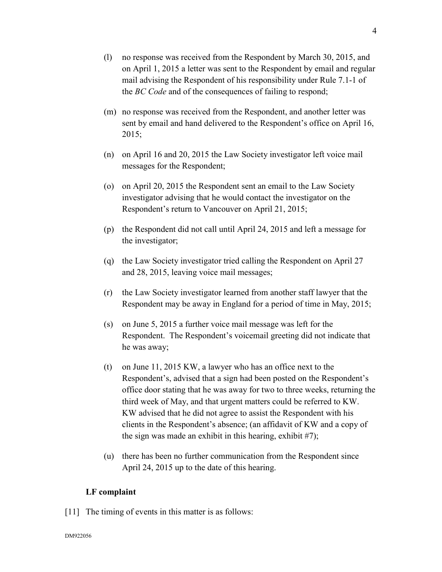- (l) no response was received from the Respondent by March 30, 2015, and on April 1, 2015 a letter was sent to the Respondent by email and regular mail advising the Respondent of his responsibility under Rule 7.1-1 of the *BC Code* and of the consequences of failing to respond;
- (m) no response was received from the Respondent, and another letter was sent by email and hand delivered to the Respondent's office on April 16, 2015;
- (n) on April 16 and 20, 2015 the Law Society investigator left voice mail messages for the Respondent;
- (o) on April 20, 2015 the Respondent sent an email to the Law Society investigator advising that he would contact the investigator on the Respondent's return to Vancouver on April 21, 2015;
- (p) the Respondent did not call until April 24, 2015 and left a message for the investigator;
- (q) the Law Society investigator tried calling the Respondent on April 27 and 28, 2015, leaving voice mail messages;
- (r) the Law Society investigator learned from another staff lawyer that the Respondent may be away in England for a period of time in May, 2015;
- (s) on June 5, 2015 a further voice mail message was left for the Respondent. The Respondent's voicemail greeting did not indicate that he was away;
- (t) on June 11, 2015 KW, a lawyer who has an office next to the Respondent's, advised that a sign had been posted on the Respondent's office door stating that he was away for two to three weeks, returning the third week of May, and that urgent matters could be referred to KW. KW advised that he did not agree to assist the Respondent with his clients in the Respondent's absence; (an affidavit of KW and a copy of the sign was made an exhibit in this hearing, exhibit #7);
- (u) there has been no further communication from the Respondent since April 24, 2015 up to the date of this hearing.

#### **LF complaint**

[11] The timing of events in this matter is as follows: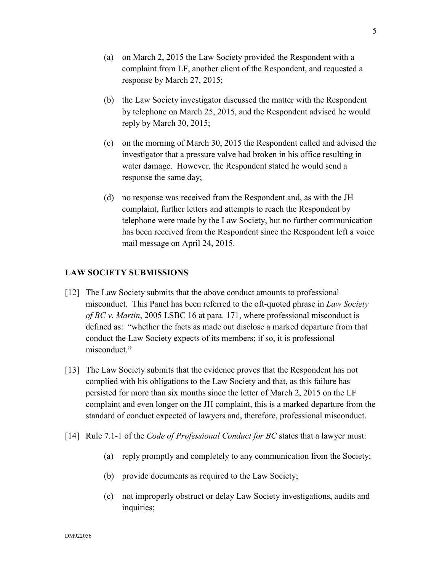- (a) on March 2, 2015 the Law Society provided the Respondent with a complaint from LF, another client of the Respondent, and requested a response by March 27, 2015;
- (b) the Law Society investigator discussed the matter with the Respondent by telephone on March 25, 2015, and the Respondent advised he would reply by March 30, 2015;
- (c) on the morning of March 30, 2015 the Respondent called and advised the investigator that a pressure valve had broken in his office resulting in water damage. However, the Respondent stated he would send a response the same day;
- (d) no response was received from the Respondent and, as with the JH complaint, further letters and attempts to reach the Respondent by telephone were made by the Law Society, but no further communication has been received from the Respondent since the Respondent left a voice mail message on April 24, 2015.

## **LAW SOCIETY SUBMISSIONS**

- [12] The Law Society submits that the above conduct amounts to professional misconduct. This Panel has been referred to the oft-quoted phrase in *Law Society of BC v. Martin*, 2005 LSBC 16 at para. 171, where professional misconduct is defined as: "whether the facts as made out disclose a marked departure from that conduct the Law Society expects of its members; if so, it is professional misconduct."
- [13] The Law Society submits that the evidence proves that the Respondent has not complied with his obligations to the Law Society and that, as this failure has persisted for more than six months since the letter of March 2, 2015 on the LF complaint and even longer on the JH complaint, this is a marked departure from the standard of conduct expected of lawyers and, therefore, professional misconduct.
- [14] Rule 7.1-1 of the *Code of Professional Conduct for BC* states that a lawyer must:
	- (a) reply promptly and completely to any communication from the Society;
	- (b) provide documents as required to the Law Society;
	- (c) not improperly obstruct or delay Law Society investigations, audits and inquiries;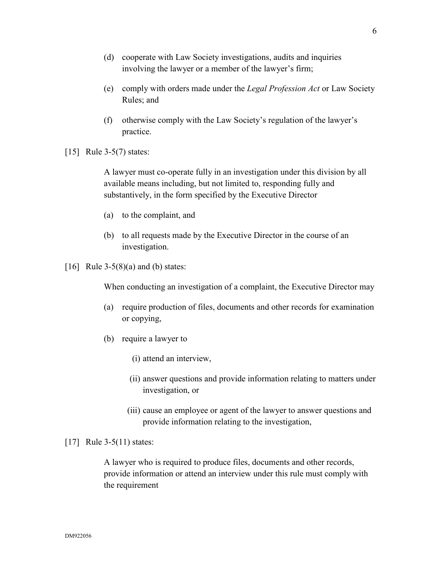- (d) cooperate with Law Society investigations, audits and inquiries involving the lawyer or a member of the lawyer's firm;
- (e) comply with orders made under the *Legal Profession Act* or Law Society Rules; and
- (f) otherwise comply with the Law Society's regulation of the lawyer's practice.
- [15] Rule 3-5(7) states:

A lawyer must co-operate fully in an investigation under this division by all available means including, but not limited to, responding fully and substantively, in the form specified by the Executive Director

- (a) to the complaint, and
- (b) to all requests made by the Executive Director in the course of an investigation.
- [16] Rule  $3-5(8)(a)$  and (b) states:

When conducting an investigation of a complaint, the Executive Director may

- (a) require production of files, documents and other records for examination or copying,
- (b) require a lawyer to
	- (i) attend an interview,
	- (ii) answer questions and provide information relating to matters under investigation, or
	- (iii) cause an employee or agent of the lawyer to answer questions and provide information relating to the investigation,

### [17] Rule 3-5(11) states:

A lawyer who is required to produce files, documents and other records, provide information or attend an interview under this rule must comply with the requirement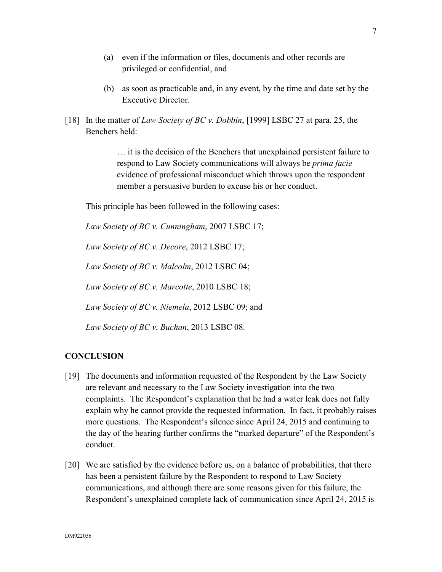- (a) even if the information or files, documents and other records are privileged or confidential, and
- (b) as soon as practicable and, in any event, by the time and date set by the Executive Director.
- [18] In the matter of *Law Society of BC v. Dobbin*, [1999] LSBC 27 at para. 25, the Benchers held:

… it is the decision of the Benchers that unexplained persistent failure to respond to Law Society communications will always be *prima facie* evidence of professional misconduct which throws upon the respondent member a persuasive burden to excuse his or her conduct.

This principle has been followed in the following cases:

*Law Society of BC v. Cunningham*, 2007 LSBC 17;

*Law Society of BC v. Decore*, 2012 LSBC 17;

*Law Society of BC v. Malcolm*, 2012 LSBC 04;

*Law Society of BC v. Marcotte*, 2010 LSBC 18;

*Law Society of BC v. Niemela*, 2012 LSBC 09; and

*Law Society of BC v. Buchan*, 2013 LSBC 08.

## **CONCLUSION**

- [19] The documents and information requested of the Respondent by the Law Society are relevant and necessary to the Law Society investigation into the two complaints. The Respondent's explanation that he had a water leak does not fully explain why he cannot provide the requested information. In fact, it probably raises more questions. The Respondent's silence since April 24, 2015 and continuing to the day of the hearing further confirms the "marked departure" of the Respondent's conduct.
- [20] We are satisfied by the evidence before us, on a balance of probabilities, that there has been a persistent failure by the Respondent to respond to Law Society communications, and although there are some reasons given for this failure, the Respondent's unexplained complete lack of communication since April 24, 2015 is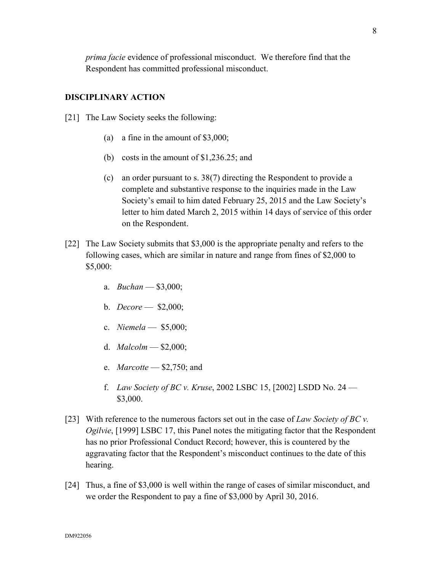8

*prima facie* evidence of professional misconduct. We therefore find that the Respondent has committed professional misconduct.

### **DISCIPLINARY ACTION**

- [21] The Law Society seeks the following:
	- (a) a fine in the amount of \$3,000;
	- (b) costs in the amount of \$1,236.25; and
	- (c) an order pursuant to s. 38(7) directing the Respondent to provide a complete and substantive response to the inquiries made in the Law Society's email to him dated February 25, 2015 and the Law Society's letter to him dated March 2, 2015 within 14 days of service of this order on the Respondent.
- [22] The Law Society submits that \$3,000 is the appropriate penalty and refers to the following cases, which are similar in nature and range from fines of \$2,000 to \$5,000:
	- a. *Buchan* \$3,000;
	- b. *Decore* \$2,000;
	- c. *Niemela* \$5,000;
	- d. *Malcolm* \$2,000;
	- e. *Marcotte* \$2,750; and
	- f. *Law Society of BC v. Kruse*, 2002 LSBC 15, [2002] LSDD No. 24 \$3,000.
- [23] With reference to the numerous factors set out in the case of *Law Society of BC v. Ogilvie*, [1999] LSBC 17, this Panel notes the mitigating factor that the Respondent has no prior Professional Conduct Record; however, this is countered by the aggravating factor that the Respondent's misconduct continues to the date of this hearing.
- [24] Thus, a fine of \$3,000 is well within the range of cases of similar misconduct, and we order the Respondent to pay a fine of \$3,000 by April 30, 2016.